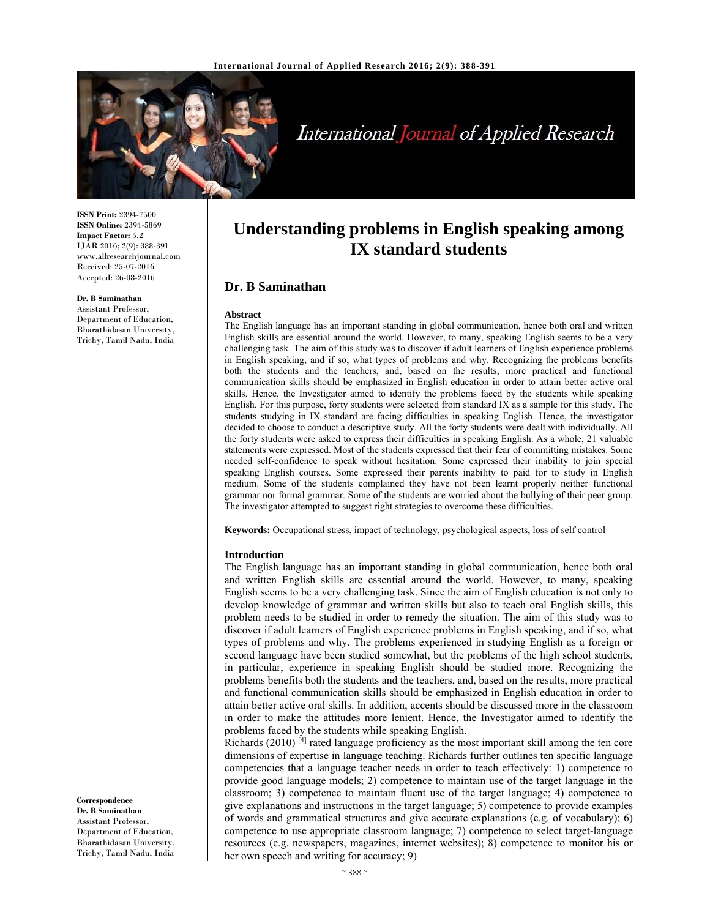

# International Journal of Applied Research

**ISSN Print:** 2394-7500 **ISSN Online:** 2394-5869 **Impact Factor:** 5.2 IJAR 2016; 2(9): 388-391 www.allresearchjournal.com Received: 25-07-2016 Accepted: 26-08-2016

#### **Dr. B Saminathan**

Assistant Professor, Department of Education, Bharathidasan University, Trichy, Tamil Nadu, India

# **Understanding problems in English speaking among IX standard students**

# **Dr. B Saminathan**

#### **Abstract**

The English language has an important standing in global communication, hence both oral and written English skills are essential around the world. However, to many, speaking English seems to be a very challenging task. The aim of this study was to discover if adult learners of English experience problems in English speaking, and if so, what types of problems and why. Recognizing the problems benefits both the students and the teachers, and, based on the results, more practical and functional communication skills should be emphasized in English education in order to attain better active oral skills. Hence, the Investigator aimed to identify the problems faced by the students while speaking English. For this purpose, forty students were selected from standard IX as a sample for this study. The students studying in IX standard are facing difficulties in speaking English. Hence, the investigator decided to choose to conduct a descriptive study. All the forty students were dealt with individually. All the forty students were asked to express their difficulties in speaking English. As a whole, 21 valuable statements were expressed. Most of the students expressed that their fear of committing mistakes. Some needed self-confidence to speak without hesitation. Some expressed their inability to join special speaking English courses. Some expressed their parents inability to paid for to study in English medium. Some of the students complained they have not been learnt properly neither functional grammar nor formal grammar. Some of the students are worried about the bullying of their peer group. The investigator attempted to suggest right strategies to overcome these difficulties.

**Keywords:** Occupational stress, impact of technology, psychological aspects, loss of self control

#### **Introduction**

The English language has an important standing in global communication, hence both oral and written English skills are essential around the world. However, to many, speaking English seems to be a very challenging task. Since the aim of English education is not only to develop knowledge of grammar and written skills but also to teach oral English skills, this problem needs to be studied in order to remedy the situation. The aim of this study was to discover if adult learners of English experience problems in English speaking, and if so, what types of problems and why. The problems experienced in studying English as a foreign or second language have been studied somewhat, but the problems of the high school students, in particular, experience in speaking English should be studied more. Recognizing the problems benefits both the students and the teachers, and, based on the results, more practical and functional communication skills should be emphasized in English education in order to attain better active oral skills. In addition, accents should be discussed more in the classroom in order to make the attitudes more lenient. Hence, the Investigator aimed to identify the problems faced by the students while speaking English.

Richards (2010)<sup>[4]</sup> rated language proficiency as the most important skill among the ten core dimensions of expertise in language teaching. Richards further outlines ten specific language competencies that a language teacher needs in order to teach effectively: 1) competence to provide good language models; 2) competence to maintain use of the target language in the classroom; 3) competence to maintain fluent use of the target language; 4) competence to give explanations and instructions in the target language; 5) competence to provide examples of words and grammatical structures and give accurate explanations (e.g. of vocabulary); 6) competence to use appropriate classroom language; 7) competence to select target-language resources (e.g. newspapers, magazines, internet websites); 8) competence to monitor his or her own speech and writing for accuracy; 9)

#### **Correspondence**

**Dr. B Saminathan**  Assistant Professor, Department of Education, Bharathidasan University, Trichy, Tamil Nadu, India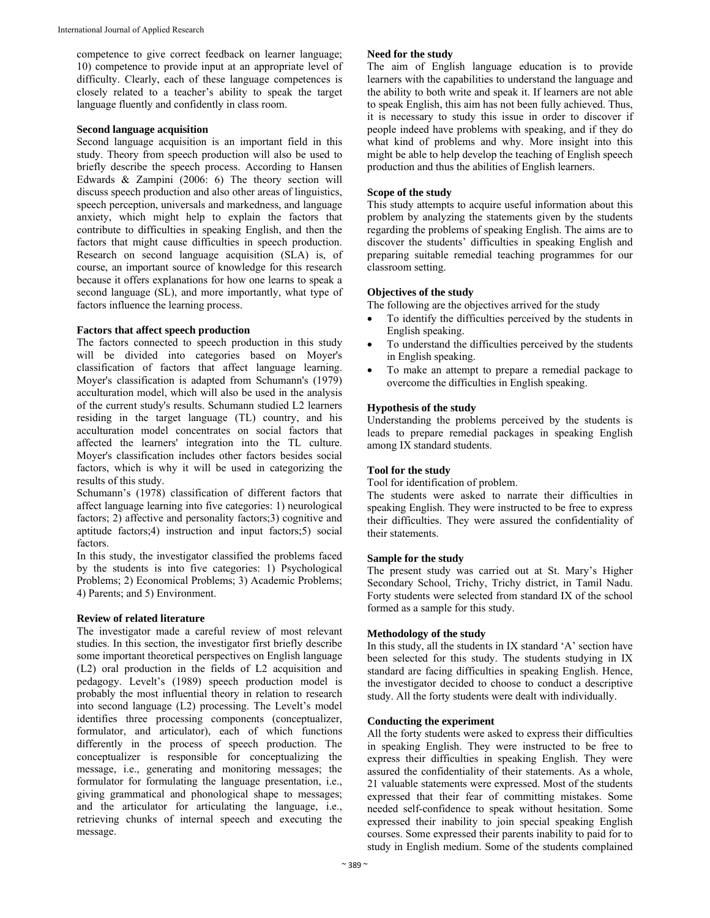competence to give correct feedback on learner language; 10) competence to provide input at an appropriate level of difficulty. Clearly, each of these language competences is closely related to a teacher's ability to speak the target language fluently and confidently in class room.

#### **Second language acquisition**

Second language acquisition is an important field in this study. Theory from speech production will also be used to briefly describe the speech process. According to Hansen Edwards & Zampini (2006: 6) The theory section will discuss speech production and also other areas of linguistics, speech perception, universals and markedness, and language anxiety, which might help to explain the factors that contribute to difficulties in speaking English, and then the factors that might cause difficulties in speech production. Research on second language acquisition (SLA) is, of course, an important source of knowledge for this research because it offers explanations for how one learns to speak a second language (SL), and more importantly, what type of factors influence the learning process.

#### **Factors that affect speech production**

The factors connected to speech production in this study will be divided into categories based on Moyer's classification of factors that affect language learning. Moyer's classification is adapted from Schumann's (1979) acculturation model, which will also be used in the analysis of the current study's results. Schumann studied L2 learners residing in the target language (TL) country, and his acculturation model concentrates on social factors that affected the learners' integration into the TL culture. Moyer's classification includes other factors besides social factors, which is why it will be used in categorizing the results of this study.

Schumann's (1978) classification of different factors that affect language learning into five categories: 1) neurological factors; 2) affective and personality factors;3) cognitive and aptitude factors;4) instruction and input factors;5) social factors.

In this study, the investigator classified the problems faced by the students is into five categories: 1) Psychological Problems; 2) Economical Problems; 3) Academic Problems; 4) Parents; and 5) Environment.

#### **Review of related literature**

The investigator made a careful review of most relevant studies. In this section, the investigator first briefly describe some important theoretical perspectives on English language (L2) oral production in the fields of L2 acquisition and pedagogy. Levelt's (1989) speech production model is probably the most influential theory in relation to research into second language (L2) processing. The Levelt's model identifies three processing components (conceptualizer, formulator, and articulator), each of which functions differently in the process of speech production. The conceptualizer is responsible for conceptualizing the message, i.e., generating and monitoring messages; the formulator for formulating the language presentation, i.e., giving grammatical and phonological shape to messages; and the articulator for articulating the language, i.e., retrieving chunks of internal speech and executing the message.

#### **Need for the study**

The aim of English language education is to provide learners with the capabilities to understand the language and the ability to both write and speak it. If learners are not able to speak English, this aim has not been fully achieved. Thus, it is necessary to study this issue in order to discover if people indeed have problems with speaking, and if they do what kind of problems and why. More insight into this might be able to help develop the teaching of English speech production and thus the abilities of English learners.

## **Scope of the study**

This study attempts to acquire useful information about this problem by analyzing the statements given by the students regarding the problems of speaking English. The aims are to discover the students' difficulties in speaking English and preparing suitable remedial teaching programmes for our classroom setting.

#### **Objectives of the study**

The following are the objectives arrived for the study

- To identify the difficulties perceived by the students in English speaking.
- To understand the difficulties perceived by the students in English speaking.
- To make an attempt to prepare a remedial package to overcome the difficulties in English speaking.

#### **Hypothesis of the study**

Understanding the problems perceived by the students is leads to prepare remedial packages in speaking English among IX standard students.

#### **Tool for the study**

Tool for identification of problem.

The students were asked to narrate their difficulties in speaking English. They were instructed to be free to express their difficulties. They were assured the confidentiality of their statements.

#### **Sample for the study**

The present study was carried out at St. Mary's Higher Secondary School, Trichy, Trichy district, in Tamil Nadu. Forty students were selected from standard IX of the school formed as a sample for this study.

#### **Methodology of the study**

In this study, all the students in IX standard 'A' section have been selected for this study. The students studying in IX standard are facing difficulties in speaking English. Hence, the investigator decided to choose to conduct a descriptive study. All the forty students were dealt with individually.

#### **Conducting the experiment**

All the forty students were asked to express their difficulties in speaking English. They were instructed to be free to express their difficulties in speaking English. They were assured the confidentiality of their statements. As a whole, 21 valuable statements were expressed. Most of the students expressed that their fear of committing mistakes. Some needed self-confidence to speak without hesitation. Some expressed their inability to join special speaking English courses. Some expressed their parents inability to paid for to study in English medium. Some of the students complained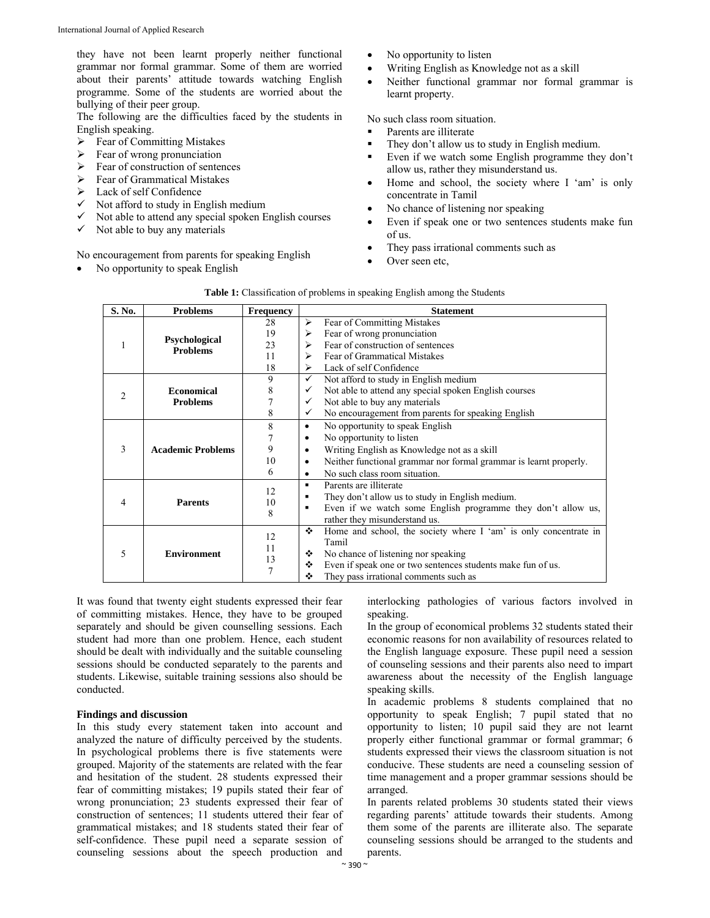they have not been learnt properly neither functional grammar nor formal grammar. Some of them are worried about their parents' attitude towards watching English programme. Some of the students are worried about the bullying of their peer group.

The following are the difficulties faced by the students in English speaking.

- $\triangleright$  Fear of Committing Mistakes
- $\geq$  Fear of wrong pronunciation<br> $\geq$  Fear of construction of senter
- Fear of construction of sentences
- Fear of Grammatical Mistakes
- Lack of self Confidence
- Not afford to study in English medium
- Not able to attend any special spoken English courses
- $\checkmark$  Not able to buy any materials

No encouragement from parents for speaking English

• No opportunity to speak English

- No opportunity to listen
- Writing English as Knowledge not as a skill
- Neither functional grammar nor formal grammar is learnt property.

No such class room situation.

- Parents are illiterate
- They don't allow us to study in English medium.
- Even if we watch some English programme they don't allow us, rather they misunderstand us.
- Home and school, the society where I 'am' is only concentrate in Tamil
- No chance of listening nor speaking
- Even if speak one or two sentences students make fun of us.
- They pass irrational comments such as
- Over seen etc,

| S. No.         | <b>Problems</b>                         | <b>Frequency</b> |                | <b>Statement</b>                                                  |
|----------------|-----------------------------------------|------------------|----------------|-------------------------------------------------------------------|
|                | <b>Psychological</b><br><b>Problems</b> | 28               | ≻              | Fear of Committing Mistakes                                       |
|                |                                         | 19               | ⋗              | Fear of wrong pronunciation                                       |
|                |                                         |                  |                | Fear of construction of sentences                                 |
|                |                                         | 23               | ⋗              |                                                                   |
|                |                                         | 11               | ⋗              | Fear of Grammatical Mistakes                                      |
|                |                                         | 18               | ⋗              | Lack of self Confidence                                           |
| $\mathfrak{D}$ | <b>Economical</b><br><b>Problems</b>    | 9                | ✓              | Not afford to study in English medium                             |
|                |                                         | 8                | ✓              | Not able to attend any special spoken English courses             |
|                |                                         |                  | ✓              | Not able to buy any materials                                     |
|                |                                         | 8                | ✓              | No encouragement from parents for speaking English                |
| 3              | <b>Academic Problems</b>                | 8                | ٠              | No opportunity to speak English                                   |
|                |                                         |                  | ٠              | No opportunity to listen                                          |
|                |                                         | 9                | ٠              | Writing English as Knowledge not as a skill                       |
|                |                                         | 10               | $\bullet$      | Neither functional grammar nor formal grammar is learnt properly. |
|                |                                         | 6                | $\bullet$      | No such class room situation.                                     |
| 4              | <b>Parents</b>                          | 12<br>10<br>8    | $\blacksquare$ | Parents are illiterate                                            |
|                |                                         |                  | ٠              | They don't allow us to study in English medium.                   |
|                |                                         |                  | ٠              | Even if we watch some English programme they don't allow us,      |
|                |                                         |                  |                | rather they misunderstand us.                                     |
| 5              | <b>Environment</b>                      | 12               | ❖              | Home and school, the society where I 'am' is only concentrate in  |
|                |                                         |                  |                | Tamil                                                             |
|                |                                         | 11               | ❖              | No chance of listening nor speaking                               |
|                |                                         | 13               | ❖              | Even if speak one or two sentences students make fun of us.       |
|                |                                         |                  | ❖              | They pass irrational comments such as                             |

# **Table 1:** Classification of problems in speaking English among the Students

It was found that twenty eight students expressed their fear of committing mistakes. Hence, they have to be grouped separately and should be given counselling sessions. Each student had more than one problem. Hence, each student should be dealt with individually and the suitable counseling sessions should be conducted separately to the parents and students. Likewise, suitable training sessions also should be conducted.

#### **Findings and discussion**

In this study every statement taken into account and analyzed the nature of difficulty perceived by the students. In psychological problems there is five statements were grouped. Majority of the statements are related with the fear and hesitation of the student. 28 students expressed their fear of committing mistakes; 19 pupils stated their fear of wrong pronunciation; 23 students expressed their fear of construction of sentences; 11 students uttered their fear of grammatical mistakes; and 18 students stated their fear of self-confidence. These pupil need a separate session of counseling sessions about the speech production and

interlocking pathologies of various factors involved in speaking.

In the group of economical problems 32 students stated their economic reasons for non availability of resources related to the English language exposure. These pupil need a session of counseling sessions and their parents also need to impart awareness about the necessity of the English language speaking skills.

In academic problems 8 students complained that no opportunity to speak English; 7 pupil stated that no opportunity to listen; 10 pupil said they are not learnt properly either functional grammar or formal grammar; 6 students expressed their views the classroom situation is not conducive. These students are need a counseling session of time management and a proper grammar sessions should be arranged.

In parents related problems 30 students stated their views regarding parents' attitude towards their students. Among them some of the parents are illiterate also. The separate counseling sessions should be arranged to the students and parents.